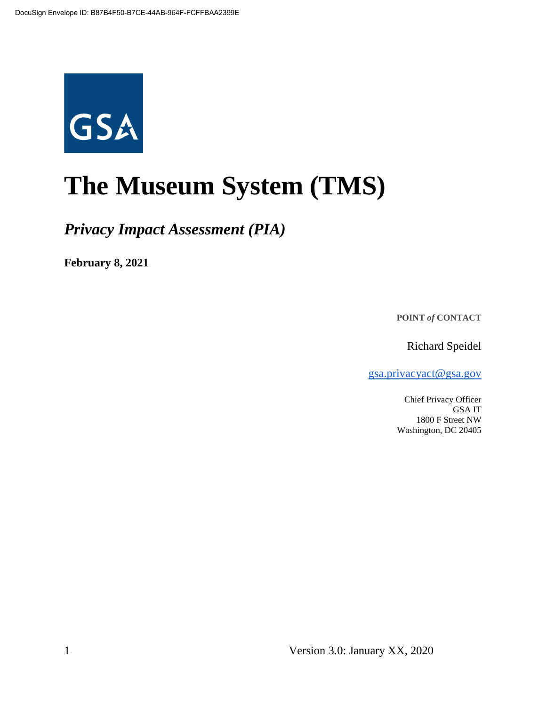

# **The Museum System (TMS)**

*Privacy Impact Assessment (PIA)*

**February 8, 2021**

**POINT** *of* **CONTACT**

Richard Speidel

gsa.privacyact@gsa.gov

Chief Privacy Officer GSA IT 1800 F Street NW Washington, DC 20405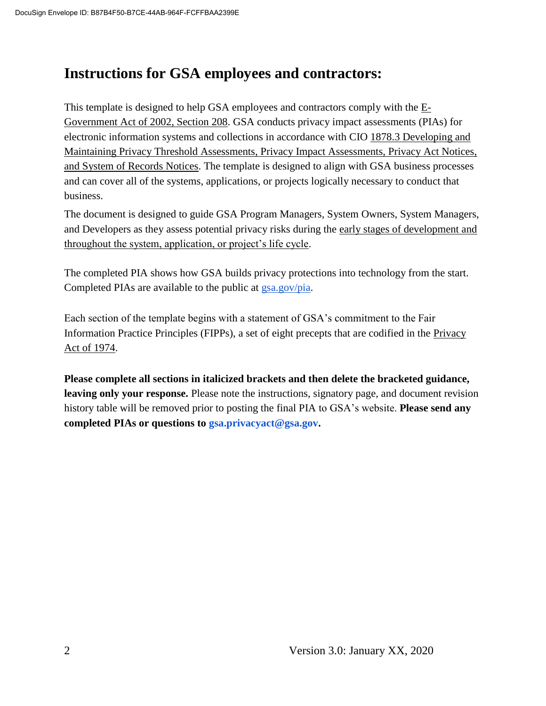## **Instructions for GSA employees and contractors:**

This template is designed to help GSA employees and contractors comply with the  $E$ -Government Act of 2002, Section 208. GSA conducts privacy impact assessments (PIAs) for electronic information systems and collections in accordance with CIO 1878.3 Developing and Maintaining Privacy Threshold Assessments, Privacy Impact Assessments, Privacy Act Notices, and System of Records Notices. The template is designed to align with GSA business processes and can cover all of the systems, applications, or projects logically necessary to conduct that business.

The document is designed to guide GSA Program Managers, System Owners, System Managers, and Developers as they assess potential privacy risks during the early stages of development and throughout the system, application, or project's life cycle.

The completed PIA shows how GSA builds privacy protections into technology from the start. Completed PIAs are available to the public at gsa.gov/pia.

Each section of the template begins with a statement of GSA's commitment to the Fair Information Practice Principles (FIPPs), a set of eight precepts that are codified in the Privacy Act of 1974.

**Please complete all sections in italicized brackets and then delete the bracketed guidance, leaving only your response.** Please note the instructions, signatory page, and document revision history table will be removed prior to posting the final PIA to GSA's website. **Please send any completed PIAs or questions to gsa.privacyact@gsa.gov.**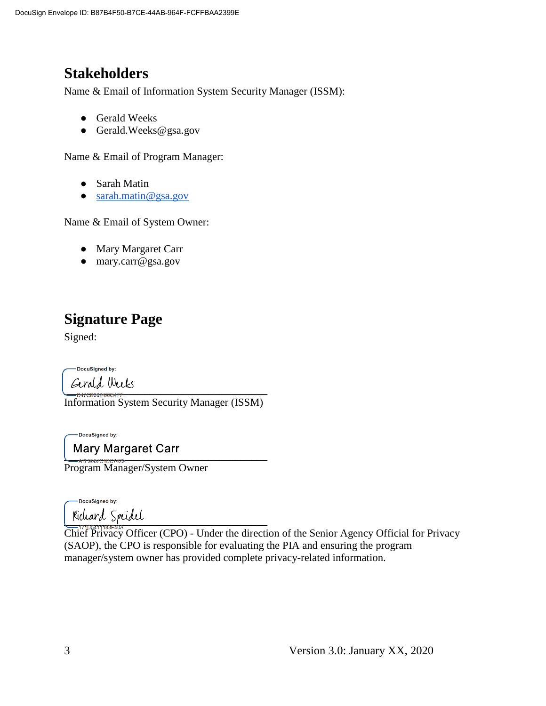# **Stakeholders**

Name & Email of Information System Security Manager (ISSM):

- Gerald Weeks
- Gerald.Weeks@gsa.gov

Name & Email of Program Manager:

- Sarah Matin
- sarah.matin@gsa.gov

Name & Email of System Owner:

- Mary Margaret Carr
- mary.carr@gsa.gov

# **Signature Page**

Signed:

DocuSigned by:

**\_\_\_\_\_\_\_\_\_\_\_\_\_\_\_\_\_\_\_\_\_\_\_\_\_\_\_\_\_\_\_\_\_\_\_\_\_\_**

Information System Security Manager (ISSM)

DocuSigned by:

**\_\_\_\_\_\_\_\_\_\_\_\_\_\_\_\_\_\_\_\_\_\_\_\_\_\_\_\_\_\_\_\_\_\_\_\_\_\_**

Program Manager/System Owner

-DocuSigned by:

**\_\_\_\_\_\_\_\_\_\_\_\_\_\_\_\_\_\_\_\_\_\_\_\_\_\_\_\_\_\_\_\_\_\_\_\_\_\_**

Chief Privacy Officer (CPO) - Under the direction of the Senior Agency Official for Privacy (SAOP), the CPO is responsible for evaluating the PIA and ensuring the program manager/system owner has provided complete privacy-related information.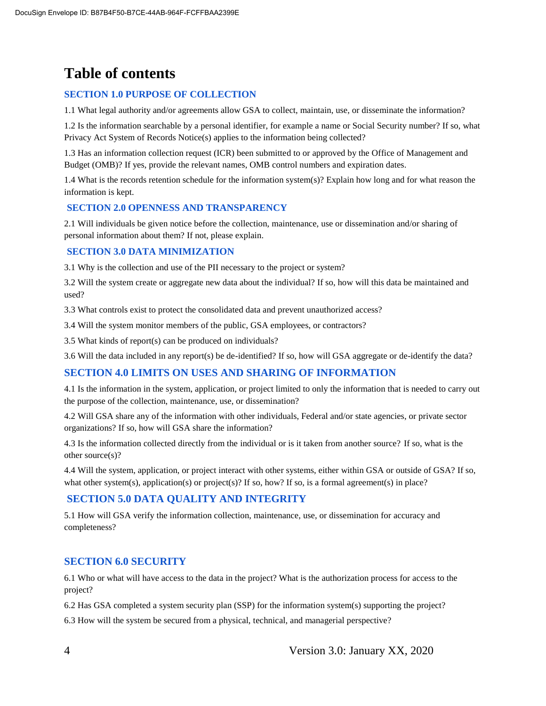# **Table of contents**

#### **SECTION 1.0 PURPOSE OF COLLECTION**

1.1 What legal authority and/or agreements allow GSA to collect, maintain, use, or disseminate the information?

1.2 Is the information searchable by a personal identifier, for example a name or Social Security number? If so, what Privacy Act System of Records Notice(s) applies to the information being collected?

1.3 Has an information collection request (ICR) been submitted to or approved by the Office of Management and Budget (OMB)? If yes, provide the relevant names, OMB control numbers and expiration dates.

1.4 What is the records retention schedule for the information system(s)? Explain how long and for what reason the information is kept.

#### **SECTION 2.0 OPENNESS AND TRANSPARENCY**

2.1 Will individuals be given notice before the collection, maintenance, use or dissemination and/or sharing of personal information about them? If not, please explain.

#### **SECTION 3.0 DATA MINIMIZATION**

3.1 Why is the collection and use of the PII necessary to the project or system?

3.2 Will the system create or aggregate new data about the individual? If so, how will this data be maintained and used?

3.3 What controls exist to protect the consolidated data and prevent unauthorized access?

3.4 Will the system monitor members of the public, GSA employees, or contractors?

3.5 What kinds of report(s) can be produced on individuals?

3.6 Will the data included in any report(s) be de-identified? If so, how will GSA aggregate or de-identify the data?

#### **SECTION 4.0 LIMITS ON USES AND SHARING OF INFORMATION**

4.1 Is the information in the system, application, or project limited to only the information that is needed to carry out the purpose of the collection, maintenance, use, or dissemination?

4.2 Will GSA share any of the information with other individuals, Federal and/or state agencies, or private sector organizations? If so, how will GSA share the information?

4.3 Is the information collected directly from the individual or is it taken from another source? If so, what is the other source(s)?

4.4 Will the system, application, or project interact with other systems, either within GSA or outside of GSA? If so, what other system(s), application(s) or project(s)? If so, how? If so, is a formal agreement(s) in place?

#### **SECTION 5.0 DATA QUALITY AND INTEGRITY**

5.1 How will GSA verify the information collection, maintenance, use, or dissemination for accuracy and completeness?

#### **SECTION 6.0 SECURITY**

6.1 Who or what will have access to the data in the project? What is the authorization process for access to the project?

6.2 Has GSA completed a system security plan (SSP) for the information system(s) supporting the project?

6.3 How will the system be secured from a physical, technical, and managerial perspective?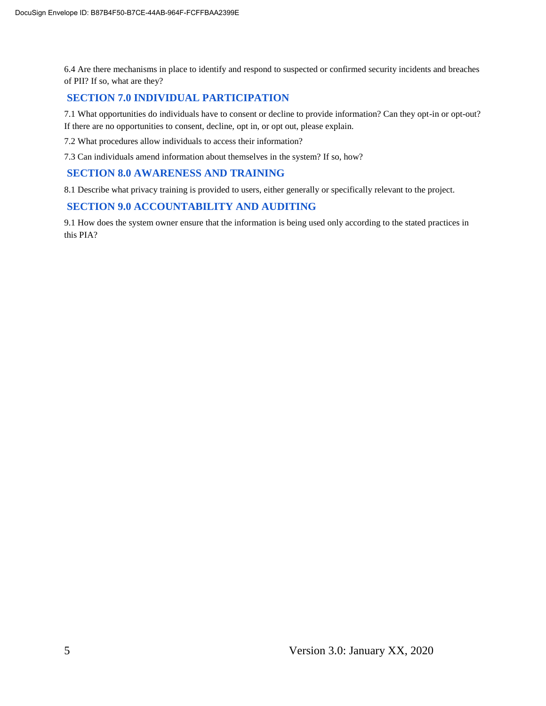6.4 Are there mechanisms in place to identify and respond to suspected or confirmed security incidents and breaches of PII? If so, what are they?

#### **SECTION 7.0 INDIVIDUAL PARTICIPATION**

7.1 What opportunities do individuals have to consent or decline to provide information? Can they opt-in or opt-out? If there are no opportunities to consent, decline, opt in, or opt out, please explain.

7.2 What procedures allow individuals to access their information?

7.3 Can individuals amend information about themselves in the system? If so, how?

#### **SECTION 8.0 AWARENESS AND TRAINING**

8.1 Describe what privacy training is provided to users, either generally or specifically relevant to the project.

#### **SECTION 9.0 ACCOUNTABILITY AND AUDITING**

9.1 How does the system owner ensure that the information is being used only according to the stated practices in this PIA?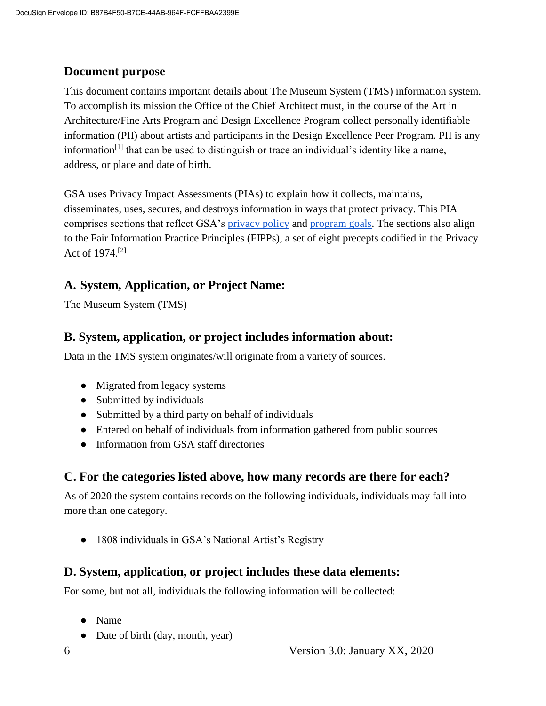#### **Document purpose**

This document contains important details about The Museum System (TMS) information system*.*  To accomplish its mission the Office of the Chief Architect must, in the course of the Art in Architecture/Fine Arts Program and Design Excellence Program collect personally identifiable information (PII) about artists and participants in the Design Excellence Peer Program. PII is any information<sup>[1]</sup> that can be used to distinguish or trace an individual's identity like a name, address, or place and date of birth.

GSA uses Privacy Impact Assessments (PIAs) to explain how it collects, maintains, disseminates, uses, secures, and destroys information in ways that protect privacy. This PIA comprises sections that reflect GSA's privacy policy and program goals. The sections also align to the Fair Information Practice Principles (FIPPs), a set of eight precepts codified in the Privacy Act of 1974.[2]

#### **A. System, Application, or Project Name:**

The Museum System (TMS)

#### **B. System, application, or project includes information about:**

Data in the TMS system originates/will originate from a variety of sources.

- Migrated from legacy systems
- Submitted by individuals
- Submitted by a third party on behalf of individuals
- Entered on behalf of individuals from information gathered from public sources
- Information from GSA staff directories

#### **C. For the categories listed above, how many records are there for each?**

As of 2020 the system contains records on the following individuals, individuals may fall into more than one category.

• 1808 individuals in GSA's National Artist's Registry

#### **D. System, application, or project includes these data elements:**

For some, but not all, individuals the following information will be collected:

- Name
- Date of birth (day, month, year)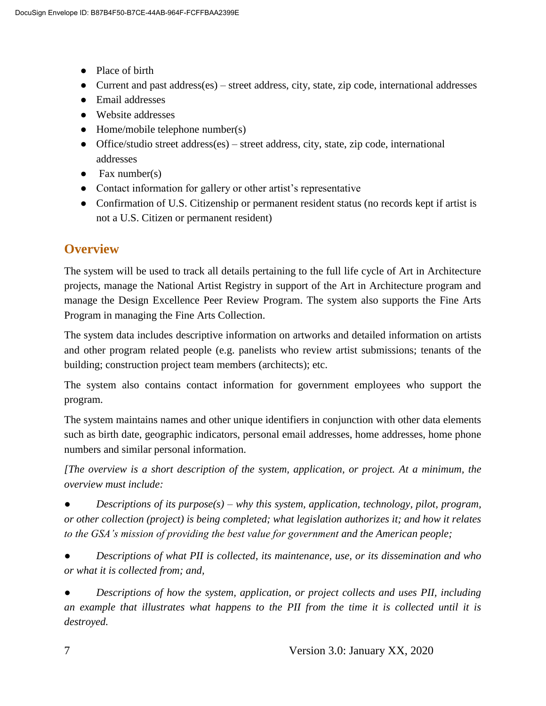- Place of birth
- Current and past address(es) street address, city, state, zip code, international addresses
- Email addresses
- Website addresses
- $\bullet$  Home/mobile telephone number(s)
- Office/studio street address(es) street address, city, state, zip code, international addresses
- $\bullet$  Fax number(s)
- Contact information for gallery or other artist's representative
- Confirmation of U.S. Citizenship or permanent resident status (no records kept if artist is not a U.S. Citizen or permanent resident)

## **Overview**

The system will be used to track all details pertaining to the full life cycle of Art in Architecture projects, manage the National Artist Registry in support of the Art in Architecture program and manage the Design Excellence Peer Review Program. The system also supports the Fine Arts Program in managing the Fine Arts Collection.

The system data includes descriptive information on artworks and detailed information on artists and other program related people (e.g. panelists who review artist submissions; tenants of the building; construction project team members (architects); etc.

The system also contains contact information for government employees who support the program.

The system maintains names and other unique identifiers in conjunction with other data elements such as birth date, geographic indicators, personal email addresses, home addresses, home phone numbers and similar personal information.

*[The overview is a short description of the system, application, or project. At a minimum, the overview must include:*

● *Descriptions of its purpose(s) – why this system, application, technology, pilot, program, or other collection (project) is being completed; what legislation authorizes it; and how it relates to the GSA's mission of providing the best value for government and the American people;*

● *Descriptions of what PII is collected, its maintenance, use, or its dissemination and who or what it is collected from; and,*

Descriptions of how the system, application, or project collects and uses PII, including *an example that illustrates what happens to the PII from the time it is collected until it is destroyed.*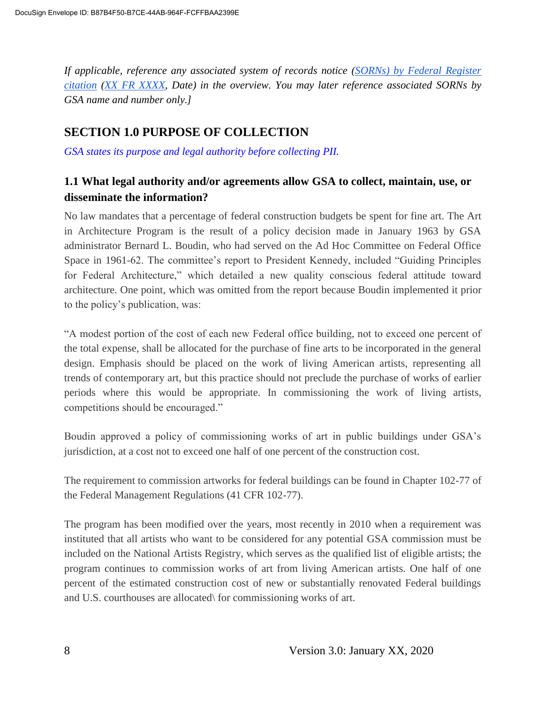*If applicable, reference any associated system of records notice (SORNs) by Federal Register citation (XX FR XXXX, Date) in the overview. You may later reference associated SORNs by GSA name and number only.]*

#### **SECTION 1.0 PURPOSE OF COLLECTION**

*GSA states its purpose and legal authority before collecting PII.*

#### **1.1 What legal authority and/or agreements allow GSA to collect, maintain, use, or disseminate the information?**

No law mandates that a percentage of federal construction budgets be spent for fine art. The Art in Architecture Program is the result of a policy decision made in January 1963 by GSA administrator Bernard L. Boudin, who had served on the Ad Hoc Committee on Federal Office Space in 1961-62. The committee's report to President Kennedy, included "Guiding Principles for Federal Architecture," which detailed a new quality conscious federal attitude toward architecture. One point, which was omitted from the report because Boudin implemented it prior to the policy's publication, was:

"A modest portion of the cost of each new Federal office building, not to exceed one percent of the total expense, shall be allocated for the purchase of fine arts to be incorporated in the general design. Emphasis should be placed on the work of living American artists, representing all trends of contemporary art, but this practice should not preclude the purchase of works of earlier periods where this would be appropriate. In commissioning the work of living artists, competitions should be encouraged."

Boudin approved a policy of commissioning works of art in public buildings under GSA's jurisdiction, at a cost not to exceed one half of one percent of the construction cost.

The requirement to commission artworks for federal buildings can be found in Chapter 102-77 of the Federal Management Regulations (41 CFR 102-77).

The program has been modified over the years, most recently in 2010 when a requirement was instituted that all artists who want to be considered for any potential GSA commission must be included on the National Artists Registry, which serves as the qualified list of eligible artists; the program continues to commission works of art from living American artists. One half of one percent of the estimated construction cost of new or substantially renovated Federal buildings and U.S. courthouses are allocated\ for commissioning works of art.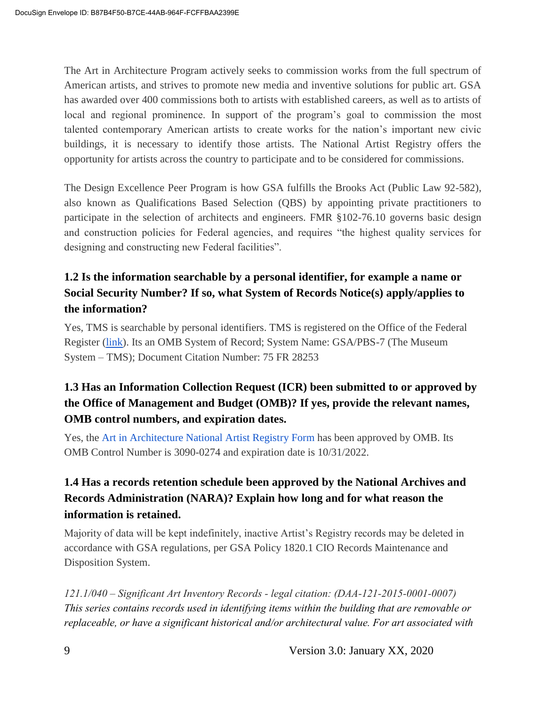The Art in Architecture Program actively seeks to commission works from the full spectrum of American artists, and strives to promote new media and inventive solutions for public art. GSA has awarded over 400 commissions both to artists with established careers, as well as to artists of local and regional prominence. In support of the program's goal to commission the most talented contemporary American artists to create works for the nation's important new civic buildings, it is necessary to identify those artists. The National Artist Registry offers the opportunity for artists across the country to participate and to be considered for commissions.

The Design Excellence Peer Program is how GSA fulfills the Brooks Act (Public Law 92-582), also known as Qualifications Based Selection (QBS) by appointing private practitioners to participate in the selection of architects and engineers. FMR §102-76.10 governs basic design and construction policies for Federal agencies, and requires "the highest quality services for designing and constructing new Federal facilities".

#### **1.2 Is the information searchable by a personal identifier, for example a name or Social Security Number? If so, what System of Records Notice(s) apply/applies to the information?**

Yes, TMS is searchable by personal identifiers. TMS is registered on the Office of the Federal Register (link). Its an OMB System of Record; System Name: GSA/PBS-7 (The Museum System – TMS); Document Citation Number: 75 FR 28253

## **1.3 Has an Information Collection Request (ICR) been submitted to or approved by the Office of Management and Budget (OMB)? If yes, provide the relevant names, OMB control numbers, and expiration dates.**

Yes, the Art in Architecture National Artist Registry Form has been approved by OMB. Its OMB Control Number is 3090-0274 and expiration date is 10/31/2022.

## **1.4 Has a records retention schedule been approved by the National Archives and Records Administration (NARA)? Explain how long and for what reason the information is retained.**

Majority of data will be kept indefinitely, inactive Artist's Registry records may be deleted in accordance with GSA regulations, per GSA Policy 1820.1 CIO Records Maintenance and Disposition System.

*121.1/040 – Significant Art Inventory Records - legal citation: (DAA-121-2015-0001-0007) This series contains records used in identifying items within the building that are removable or replaceable, or have a significant historical and/or architectural value. For art associated with*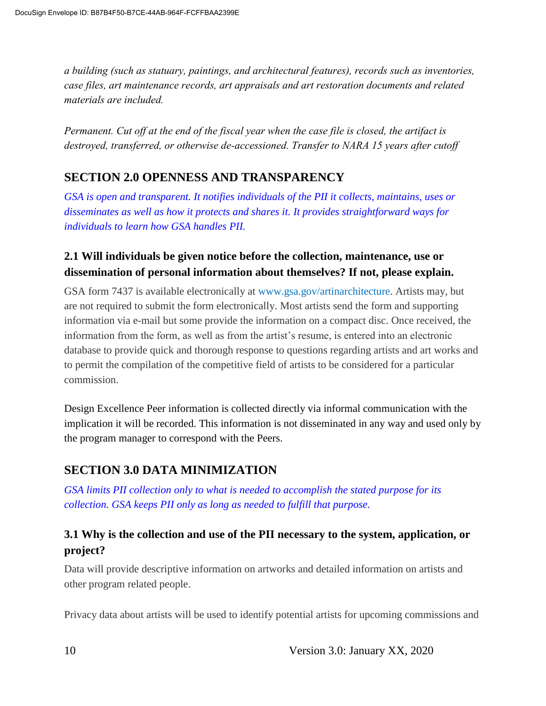*a building (such as statuary, paintings, and architectural features), records such as inventories, case files, art maintenance records, art appraisals and art restoration documents and related materials are included.*

*Permanent. Cut off at the end of the fiscal year when the case file is closed, the artifact is destroyed, transferred, or otherwise de-accessioned. Transfer to NARA 15 years after cutoff*

## **SECTION 2.0 OPENNESS AND TRANSPARENCY**

*GSA is open and transparent. It notifies individuals of the PII it collects, maintains, uses or disseminates as well as how it protects and shares it. It provides straightforward ways for individuals to learn how GSA handles PII.*

#### **2.1 Will individuals be given notice before the collection, maintenance, use or dissemination of personal information about themselves? If not, please explain.**

GSA form 7437 is available electronically at www.gsa.gov/artinarchitecture. Artists may, but are not required to submit the form electronically. Most artists send the form and supporting information via e-mail but some provide the information on a compact disc. Once received, the information from the form, as well as from the artist's resume, is entered into an electronic database to provide quick and thorough response to questions regarding artists and art works and to permit the compilation of the competitive field of artists to be considered for a particular commission.

Design Excellence Peer information is collected directly via informal communication with the implication it will be recorded. This information is not disseminated in any way and used only by the program manager to correspond with the Peers.

## **SECTION 3.0 DATA MINIMIZATION**

*GSA limits PII collection only to what is needed to accomplish the stated purpose for its collection. GSA keeps PII only as long as needed to fulfill that purpose.*

#### **3.1 Why is the collection and use of the PII necessary to the system, application, or project?**

Data will provide descriptive information on artworks and detailed information on artists and other program related people.

Privacy data about artists will be used to identify potential artists for upcoming commissions and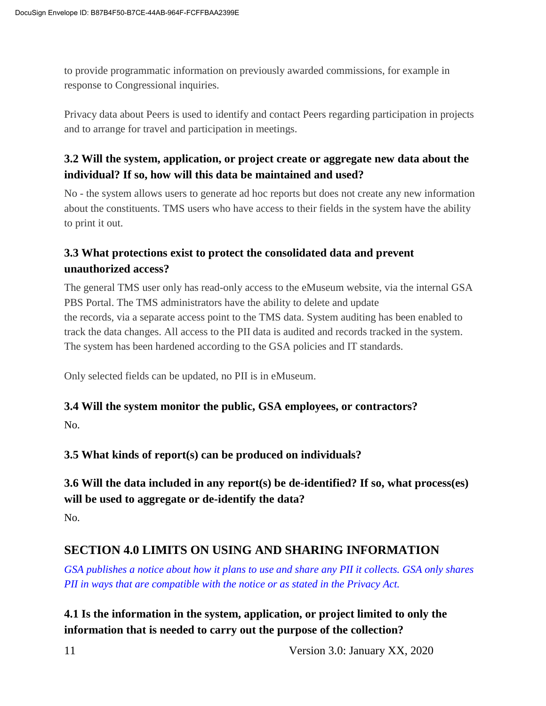to provide programmatic information on previously awarded commissions, for example in response to Congressional inquiries.

Privacy data about Peers is used to identify and contact Peers regarding participation in projects and to arrange for travel and participation in meetings.

#### **3.2 Will the system, application, or project create or aggregate new data about the individual? If so, how will this data be maintained and used?**

No - the system allows users to generate ad hoc reports but does not create any new information about the constituents. TMS users who have access to their fields in the system have the ability to print it out.

#### **3.3 What protections exist to protect the consolidated data and prevent unauthorized access?**

The general TMS user only has read-only access to the eMuseum website, via the internal GSA PBS Portal. The TMS administrators have the ability to delete and update the records, via a separate access point to the TMS data. System auditing has been enabled to track the data changes. All access to the PII data is audited and records tracked in the system. The system has been hardened according to the GSA policies and IT standards.

Only selected fields can be updated, no PII is in eMuseum.

#### **3.4 Will the system monitor the public, GSA employees, or contractors?**

No.

**3.5 What kinds of report(s) can be produced on individuals?**

#### **3.6 Will the data included in any report(s) be de-identified? If so, what process(es) will be used to aggregate or de-identify the data?**

No.

## **SECTION 4.0 LIMITS ON USING AND SHARING INFORMATION**

*GSA publishes a notice about how it plans to use and share any PII it collects. GSA only shares PII in ways that are compatible with the notice or as stated in the Privacy Act.*

#### **4.1 Is the information in the system, application, or project limited to only the information that is needed to carry out the purpose of the collection?**

11 Version 3.0: January XX, 2020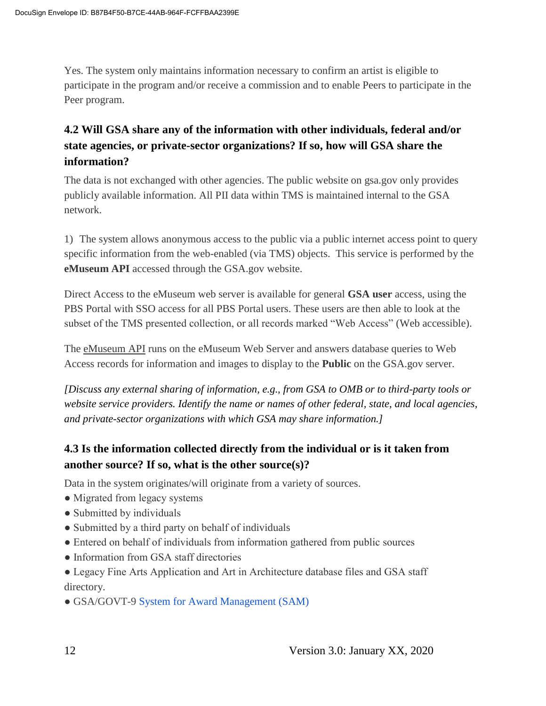Yes. The system only maintains information necessary to confirm an artist is eligible to participate in the program and/or receive a commission and to enable Peers to participate in the Peer program.

## **4.2 Will GSA share any of the information with other individuals, federal and/or state agencies, or private-sector organizations? If so, how will GSA share the information?**

The data is not exchanged with other agencies. The public website on gsa.gov only provides publicly available information. All PII data within TMS is maintained internal to the GSA network.

1) The system allows anonymous access to the public via a public internet access point to query specific information from the web-enabled (via TMS) objects. This service is performed by the **eMuseum API** accessed through the GSA.gov website.

Direct Access to the eMuseum web server is available for general **GSA user** access, using the PBS Portal with SSO access for all PBS Portal users. These users are then able to look at the subset of the TMS presented collection, or all records marked "Web Access" (Web accessible).

The eMuseum API runs on the eMuseum Web Server and answers database queries to Web Access records for information and images to display to the **Public** on the GSA.gov server.

*[Discuss any external sharing of information, e.g., from GSA to OMB or to third-party tools or website service providers. Identify the name or names of other federal, state, and local agencies, and private-sector organizations with which GSA may share information.]*

## **4.3 Is the information collected directly from the individual or is it taken from another source? If so, what is the other source(s)?**

Data in the system originates/will originate from a variety of sources.

- Migrated from legacy systems
- Submitted by individuals
- Submitted by a third party on behalf of individuals
- Entered on behalf of individuals from information gathered from public sources
- Information from GSA staff directories
- Legacy Fine Arts Application and Art in Architecture database files and GSA staff directory.
- GSA/GOVT-9 System for Award Management (SAM)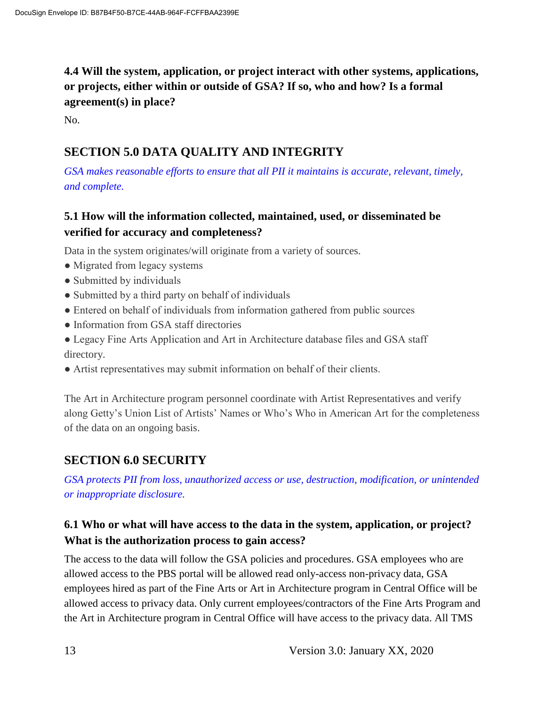**4.4 Will the system, application, or project interact with other systems, applications, or projects, either within or outside of GSA? If so, who and how? Is a formal agreement(s) in place?**

No.

#### **SECTION 5.0 DATA QUALITY AND INTEGRITY**

*GSA makes reasonable efforts to ensure that all PII it maintains is accurate, relevant, timely, and complete.*

#### **5.1 How will the information collected, maintained, used, or disseminated be verified for accuracy and completeness?**

Data in the system originates/will originate from a variety of sources.

- Migrated from legacy systems
- Submitted by individuals
- Submitted by a third party on behalf of individuals
- Entered on behalf of individuals from information gathered from public sources
- Information from GSA staff directories
- Legacy Fine Arts Application and Art in Architecture database files and GSA staff directory.
- Artist representatives may submit information on behalf of their clients.

The Art in Architecture program personnel coordinate with Artist Representatives and verify along Getty's Union List of Artists' Names or Who's Who in American Art for the completeness of the data on an ongoing basis.

#### **SECTION 6.0 SECURITY**

*GSA protects PII from loss, unauthorized access or use, destruction, modification, or unintended or inappropriate disclosure.*

#### **6.1 Who or what will have access to the data in the system, application, or project? What is the authorization process to gain access?**

The access to the data will follow the GSA policies and procedures. GSA employees who are allowed access to the PBS portal will be allowed read only-access non-privacy data, GSA employees hired as part of the Fine Arts or Art in Architecture program in Central Office will be allowed access to privacy data. Only current employees/contractors of the Fine Arts Program and the Art in Architecture program in Central Office will have access to the privacy data. All TMS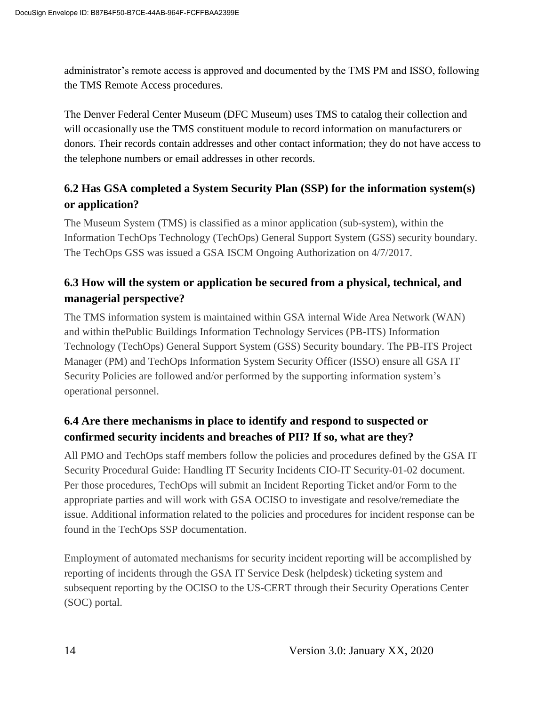administrator's remote access is approved and documented by the TMS PM and ISSO, following the TMS Remote Access procedures.

The Denver Federal Center Museum (DFC Museum) uses TMS to catalog their collection and will occasionally use the TMS constituent module to record information on manufacturers or donors. Their records contain addresses and other contact information; they do not have access to the telephone numbers or email addresses in other records.

#### **6.2 Has GSA completed a System Security Plan (SSP) for the information system(s) or application?**

The Museum System (TMS) is classified as a minor application (sub-system), within the Information TechOps Technology (TechOps) General Support System (GSS) security boundary. The TechOps GSS was issued a GSA ISCM Ongoing Authorization on 4/7/2017.

#### **6.3 How will the system or application be secured from a physical, technical, and managerial perspective?**

The TMS information system is maintained within GSA internal Wide Area Network (WAN) and within thePublic Buildings Information Technology Services (PB-ITS) Information Technology (TechOps) General Support System (GSS) Security boundary. The PB-ITS Project Manager (PM) and TechOps Information System Security Officer (ISSO) ensure all GSA IT Security Policies are followed and/or performed by the supporting information system's operational personnel.

## **6.4 Are there mechanisms in place to identify and respond to suspected or confirmed security incidents and breaches of PII? If so, what are they?**

All PMO and TechOps staff members follow the policies and procedures defined by the GSA IT Security Procedural Guide: Handling IT Security Incidents CIO-IT Security-01-02 document. Per those procedures, TechOps will submit an Incident Reporting Ticket and/or Form to the appropriate parties and will work with GSA OCISO to investigate and resolve/remediate the issue. Additional information related to the policies and procedures for incident response can be found in the TechOps SSP documentation.

Employment of automated mechanisms for security incident reporting will be accomplished by reporting of incidents through the GSA IT Service Desk (helpdesk) ticketing system and subsequent reporting by the OCISO to the US-CERT through their Security Operations Center (SOC) portal.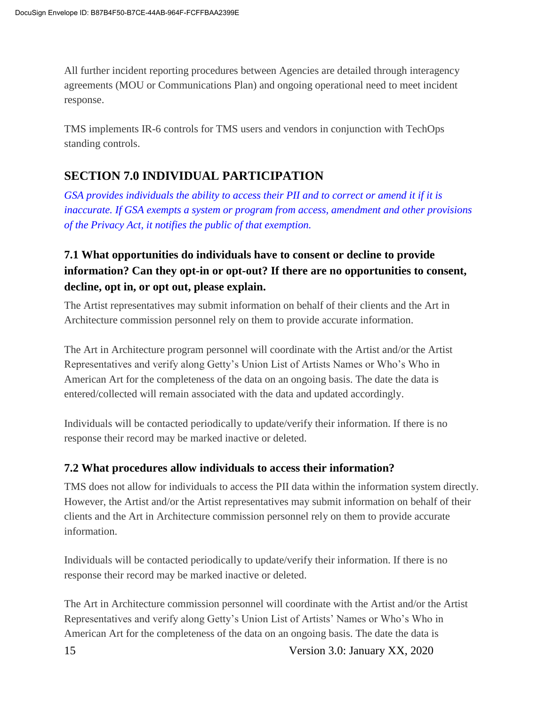All further incident reporting procedures between Agencies are detailed through interagency agreements (MOU or Communications Plan) and ongoing operational need to meet incident response.

TMS implements IR-6 controls for TMS users and vendors in conjunction with TechOps standing controls.

## **SECTION 7.0 INDIVIDUAL PARTICIPATION**

*GSA provides individuals the ability to access their PII and to correct or amend it if it is inaccurate. If GSA exempts a system or program from access, amendment and other provisions of the Privacy Act, it notifies the public of that exemption.*

## **7.1 What opportunities do individuals have to consent or decline to provide information? Can they opt-in or opt-out? If there are no opportunities to consent, decline, opt in, or opt out, please explain.**

The Artist representatives may submit information on behalf of their clients and the Art in Architecture commission personnel rely on them to provide accurate information.

The Art in Architecture program personnel will coordinate with the Artist and/or the Artist Representatives and verify along Getty's Union List of Artists Names or Who's Who in American Art for the completeness of the data on an ongoing basis. The date the data is entered/collected will remain associated with the data and updated accordingly.

Individuals will be contacted periodically to update/verify their information. If there is no response their record may be marked inactive or deleted.

#### **7.2 What procedures allow individuals to access their information?**

TMS does not allow for individuals to access the PII data within the information system directly. However, the Artist and/or the Artist representatives may submit information on behalf of their clients and the Art in Architecture commission personnel rely on them to provide accurate information.

Individuals will be contacted periodically to update/verify their information. If there is no response their record may be marked inactive or deleted.

The Art in Architecture commission personnel will coordinate with the Artist and/or the Artist Representatives and verify along Getty's Union List of Artists' Names or Who's Who in American Art for the completeness of the data on an ongoing basis. The date the data is

15 Version 3.0: January XX, 2020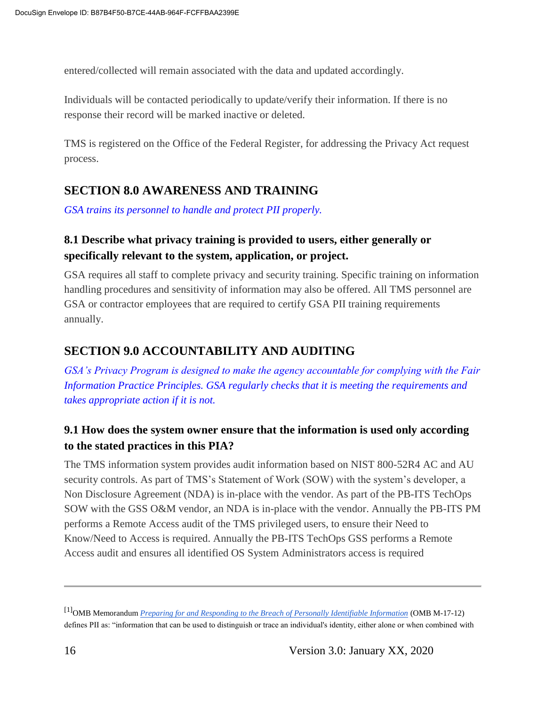entered/collected will remain associated with the data and updated accordingly.

Individuals will be contacted periodically to update/verify their information. If there is no response their record will be marked inactive or deleted.

TMS is registered on the Office of the Federal Register, for addressing the Privacy Act request process.

#### **SECTION 8.0 AWARENESS AND TRAINING**

*GSA trains its personnel to handle and protect PII properly.*

#### **8.1 Describe what privacy training is provided to users, either generally or specifically relevant to the system, application, or project.**

GSA requires all staff to complete privacy and security training. Specific training on information handling procedures and sensitivity of information may also be offered. All TMS personnel are GSA or contractor employees that are required to certify GSA PII training requirements annually.

#### **SECTION 9.0 ACCOUNTABILITY AND AUDITING**

*GSA's Privacy Program is designed to make the agency accountable for complying with the Fair Information Practice Principles. GSA regularly checks that it is meeting the requirements and takes appropriate action if it is not.*

#### **9.1 How does the system owner ensure that the information is used only according to the stated practices in this PIA?**

The TMS information system provides audit information based on NIST 800-52R4 AC and AU security controls. As part of TMS's Statement of Work (SOW) with the system's developer, a Non Disclosure Agreement (NDA) is in-place with the vendor. As part of the PB-ITS TechOps SOW with the GSS O&M vendor, an NDA is in-place with the vendor. Annually the PB-ITS PM performs a Remote Access audit of the TMS privileged users, to ensure their Need to Know/Need to Access is required. Annually the PB-ITS TechOps GSS performs a Remote Access audit and ensures all identified OS System Administrators access is required

<sup>[1]</sup>OMB Memorandum *Preparing for and Responding to the Breach of Personally Identifiable Information* (OMB M-17-12) defines PII as: "information that can be used to distinguish or trace an individual's identity, either alone or when combined with